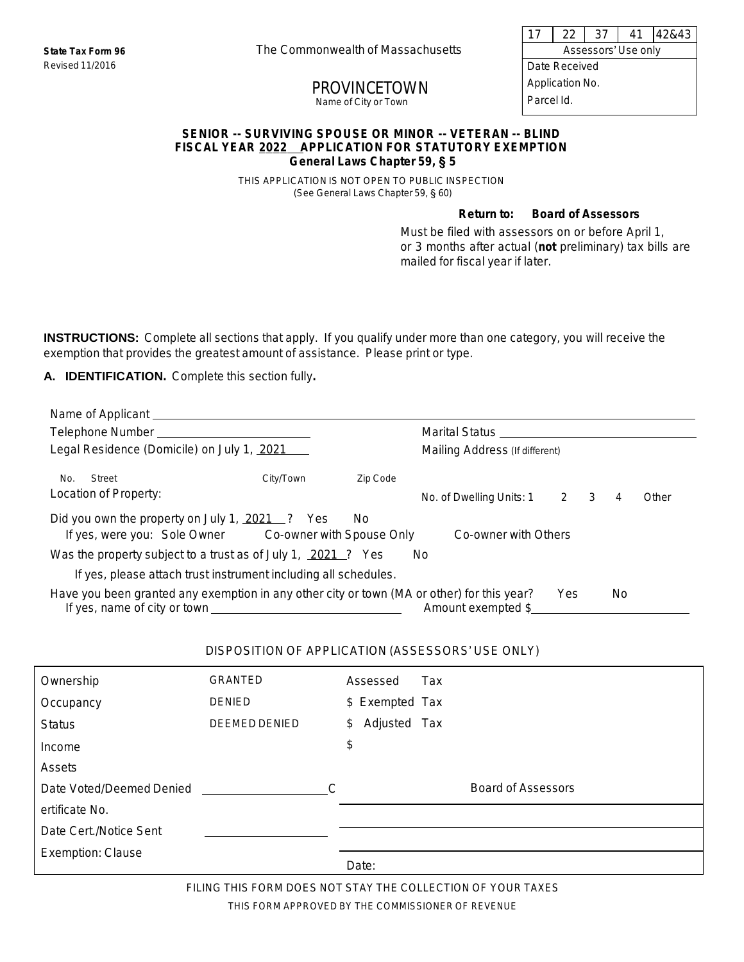Revised 11/2016

**State Tax Form 96** The Commonwealthof Massachusetts

# PROVINCETOWN

Name of City or Town

17 22 37 41 42&43

Assessors' Use only Date Received

Application No. Parcel Id.

#### **SENIOR -- SURVIVING SPOUSE OR MINOR -- VETERAN -- BLIND FISCAL YEAR 2022 APPLICATION FOR STATUTORY EXEMPTION General Laws Chapter 59,** § **5**

THIS APPLICATION IS NOT OPEN TO PUBLIC INSPECTION (See General Laws Chapter 59, § 60)

#### **Return to: Board of Assessors**

Must be filed with assessors on or before April 1, or 3 months after actual (**not** preliminary) tax bills are mailed for fiscal year if later.

**INSTRUCTIONS:** Complete all sections that apply. If you qualify under more than one category, you will receive the exemption that provides the greatest amount of assistance. Please print or type.

#### **A. IDENTIFICATION.** Complete this section fully**.**

| Name of Applicant Lawrence and Contract and Contract of Applicant Lawrence and Contract and Contract and Contract and Contract and Contract and Contract and Contract and Contract and Contract and Contract and Contract and |           |          |                                |     |     |       |
|-------------------------------------------------------------------------------------------------------------------------------------------------------------------------------------------------------------------------------|-----------|----------|--------------------------------|-----|-----|-------|
|                                                                                                                                                                                                                               |           |          |                                |     |     |       |
| Legal Residence (Domicile) on July 1, 2021                                                                                                                                                                                    |           |          | Mailing Address (If different) |     |     |       |
| Street<br>No.                                                                                                                                                                                                                 | City/Town | Zip Code |                                |     |     |       |
| Location of Property:                                                                                                                                                                                                         |           |          | No. of Dwelling Units: 1 2 3   |     | 4   | Other |
| Did you own the property on July 1, 2021 ? Yes<br>No.<br>If yes, were you: Sole Owner Co-owner with Spouse Only<br>Co-owner with Others                                                                                       |           |          |                                |     |     |       |
| Was the property subject to a trust as of July 1, 2021 ? Yes                                                                                                                                                                  |           |          | No.                            |     |     |       |
| If yes, please attach trust instrument including all schedules.                                                                                                                                                               |           |          |                                |     |     |       |
| Have you been granted any exemption in any other city or town (MA or other) for this year?                                                                                                                                    |           |          | Amount exempted \$             | Yes | No. |       |

#### DISPOSITION OF APPLICATION (ASSESSORS' USE ONLY)

| Ownership                | <b>GRANTED</b>       | Assessed<br>Tax    |
|--------------------------|----------------------|--------------------|
| Occupancy                | <b>DENIED</b>        | \$ Exempted Tax    |
| <b>Status</b>            | <b>DEEMED DENIED</b> | Adjusted Tax<br>\$ |
| Income                   |                      | \$                 |
| Assets                   |                      |                    |
| Date Voted/Deemed Denied | $\subset$            | Board of Assessors |
| ertificate No.           |                      |                    |
| Date Cert./Notice Sent   |                      |                    |
| Exemption: Clause        |                      |                    |
|                          |                      | Date:              |

FILING THIS FORM DOES NOT STAY THE COLLECTION OF YOUR TAXES THIS FORM APPROVED BY THE COMMISSIONER OF REVENUE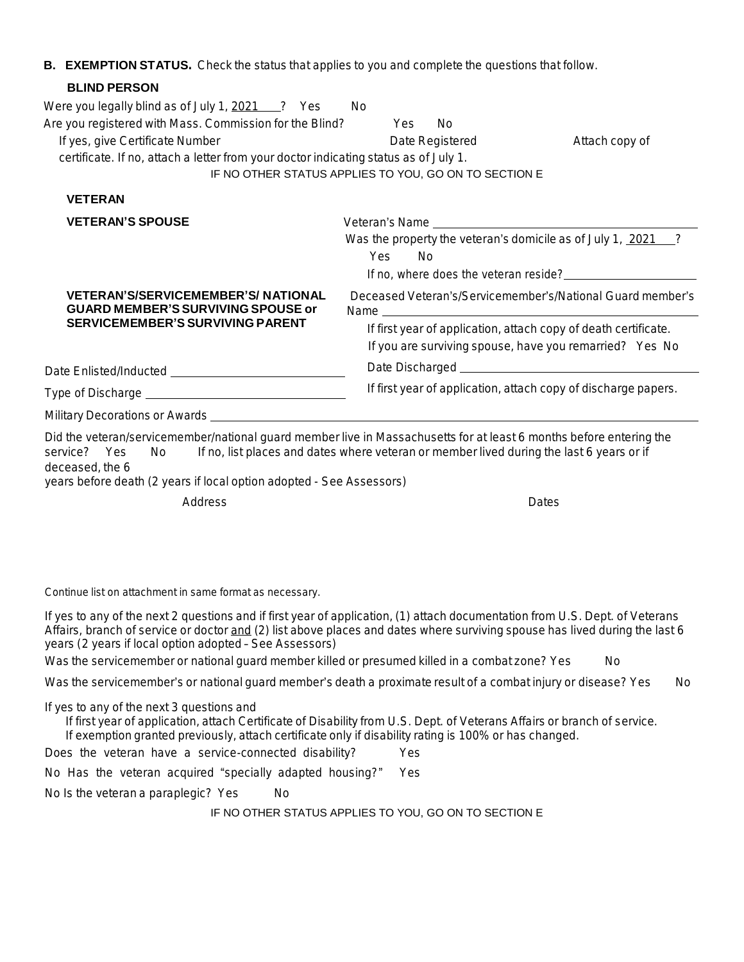### **B. EXEMPTION STATUS.** Check the status that applies to you and complete the questions that follow.

| <b>BLIND PERSON</b>                                                                                                                                                                                                                     |                                                                                                                                                                                                                                                                              |
|-----------------------------------------------------------------------------------------------------------------------------------------------------------------------------------------------------------------------------------------|------------------------------------------------------------------------------------------------------------------------------------------------------------------------------------------------------------------------------------------------------------------------------|
| Were you legally blind as of July 1, 2021 2 ? Yes<br>Are you registered with Mass. Commission for the Blind?<br>If yes, give Certificate Number<br>certificate. If no, attach a letter from your doctor indicating status as of July 1. | No.<br>Yes<br>No.<br>Date Registered<br>Attach copy of<br>IF NO OTHER STATUS APPLIES TO YOU, GO ON TO SECTION E                                                                                                                                                              |
| <b>VETERAN</b>                                                                                                                                                                                                                          |                                                                                                                                                                                                                                                                              |
| <b>VETERAN'S SPOUSE</b><br><b>VETERAN'S/SERVICEMEMBER'S/NATIONAL</b><br><b>GUARD MEMBER'S SURVIVING SPOUSE or</b><br><b>SERVICEMEMBER'S SURVIVING PARENT</b>                                                                            | Was the property the veteran's domicile as of July 1, 2021 ?<br>Yes<br><b>No</b><br>Deceased Veteran's/Servicemember's/National Guard member's<br>If first year of application, attach copy of death certificate.<br>If you are surviving spouse, have you remarried? Yes No |
|                                                                                                                                                                                                                                         |                                                                                                                                                                                                                                                                              |
|                                                                                                                                                                                                                                         | If first year of application, attach copy of discharge papers.                                                                                                                                                                                                               |
|                                                                                                                                                                                                                                         |                                                                                                                                                                                                                                                                              |
| service? Yes<br>No l<br>deceased, the 6<br>years before death (2 years if local option adopted - See Assessors)                                                                                                                         | Did the veteran/servicemember/national guard member live in Massachusetts for at least 6 months before entering the<br>If no, list places and dates where veteran or member lived during the last 6 years or if                                                              |
| Address                                                                                                                                                                                                                                 | Dates                                                                                                                                                                                                                                                                        |

*Continue list on attachment in same format as necessary.*

If yes to any of the next 2 questions and if first year of application, (1) attach documentation from U.S. Dept. of Veterans Affairs, branch of service or doctor and (2) list above places and dates where surviving spouse has lived during the last 6 *years (2 years if local option adopted* – *See Assessors)*

Was the servicemember or national guard member killed or presumed killed in a combat zone? Yes No

Was the servicemember's or national guard member's death a proximate result of a combat injury or disease? Yes No

*If yes to any of the next 3 questionsand*

If first year of application, attach Certificate of Disability from U.S. Dept. of Veterans Affairs or branch of service.

*If exemptiongranted previously, attach certificateonly if disability rating is 100% or has changed.*

Does the veteran have a service-connected disability? Yes

No Has the veteran acquired "specially adapted housing?" Yes

No Is the veteran a paraplegic? Yes No

IF NO OTHER STATUS APPLIES TO YOU, GO ON TO SECTION E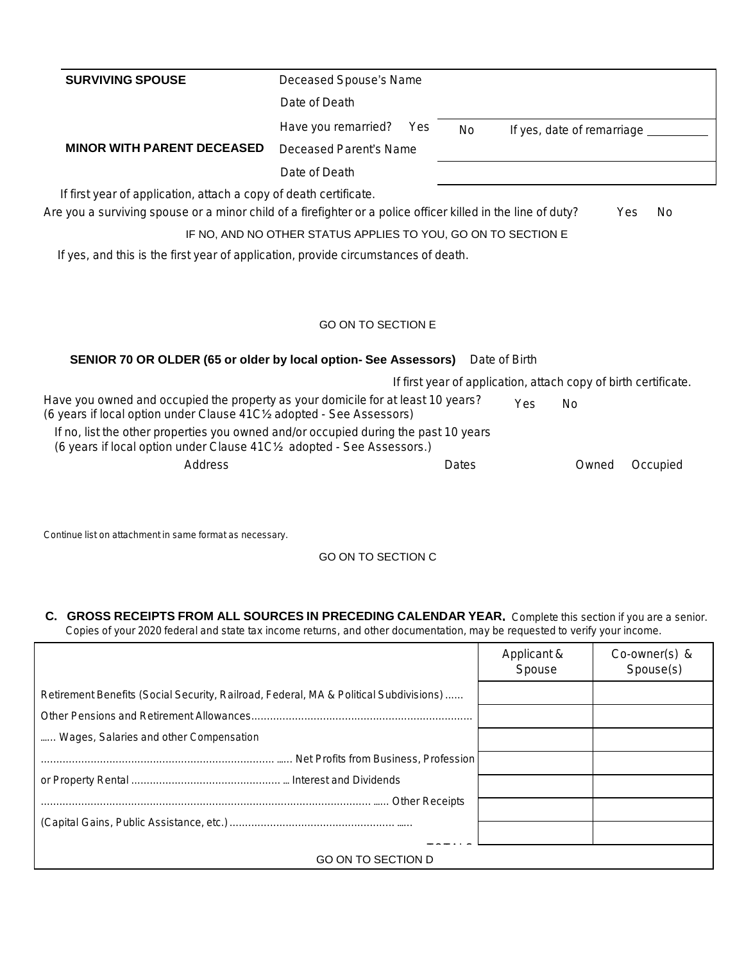| <b>SURVIVING SPOUSE</b>                                                                                                                                                                                                             | Deceased Spouse's Name                                                                                                     |
|-------------------------------------------------------------------------------------------------------------------------------------------------------------------------------------------------------------------------------------|----------------------------------------------------------------------------------------------------------------------------|
|                                                                                                                                                                                                                                     | Date of Death                                                                                                              |
|                                                                                                                                                                                                                                     | Have you remarried?<br>Yes<br>No<br>If yes, date of remarriage _                                                           |
| <b>MINOR WITH PARENT DECEASED</b>                                                                                                                                                                                                   | Deceased Parent's Name                                                                                                     |
|                                                                                                                                                                                                                                     | Date of Death                                                                                                              |
| If first year of application, attach a copy of death certificate.                                                                                                                                                                   |                                                                                                                            |
|                                                                                                                                                                                                                                     | Are you a surviving spouse or a minor child of a firefighter or a police officer killed in the line of duty?<br>Yes<br>No. |
|                                                                                                                                                                                                                                     | IF NO, AND NO OTHER STATUS APPLIES TO YOU, GO ON TO SECTION E                                                              |
| If yes, and this is the first year of application, provide circumstances of death.                                                                                                                                                  |                                                                                                                            |
|                                                                                                                                                                                                                                     |                                                                                                                            |
|                                                                                                                                                                                                                                     | <b>GO ON TO SECTION E</b>                                                                                                  |
|                                                                                                                                                                                                                                     | <b>SENIOR 70 OR OLDER (65 or older by local option- See Assessors)</b> Date of Birth                                       |
|                                                                                                                                                                                                                                     | If first year of application, attach copy of birth certificate.                                                            |
|                                                                                                                                                                                                                                     | <b>No</b><br>Yes                                                                                                           |
| Have you owned and occupied the property as your domicile for at least 10 years?<br>(6 years if local option under Clause 41C1/2 adopted - See Assessors)<br>(6 years if local option under Clause 41C1/2 adopted - See Assessors.) | If no, list the other properties you owned and/or occupied during the past 10 years                                        |

*Continue list on attachment in same format as necessary.*

GO ON TO SECTION C

**C. GROSS RECEIPTS FROM ALL SOURCES IN PRECEDING CALENDAR YEAR.** Complete this section if you are a senior. Copies of your 2020 federal and state tax income returns, and other documentation, may be requested to verify your income.

|                                                                                       | Applicant &<br>Spouse | Co-owner(s) &<br>Spouse(s) |
|---------------------------------------------------------------------------------------|-----------------------|----------------------------|
| Retirement Benefits (Social Security, Railroad, Federal, MA & Political Subdivisions) |                       |                            |
|                                                                                       |                       |                            |
| Wages, Salaries and other Compensation                                                |                       |                            |
|                                                                                       |                       |                            |
|                                                                                       |                       |                            |
|                                                                                       |                       |                            |
|                                                                                       |                       |                            |
| <b>GO ON TO SECTION D</b>                                                             |                       |                            |
|                                                                                       |                       |                            |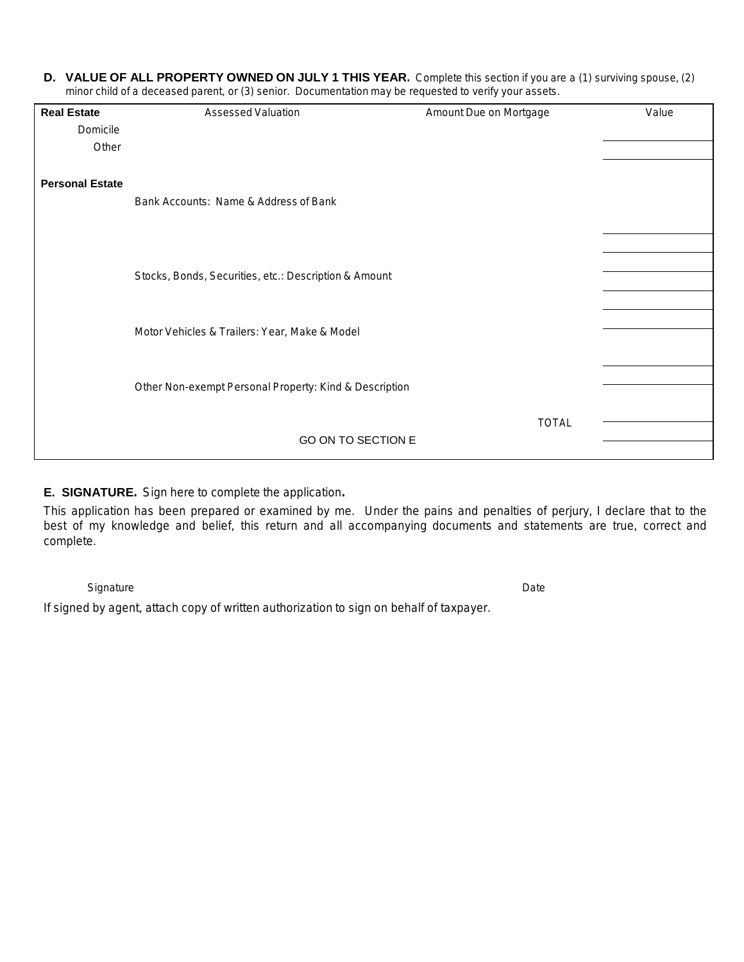**D. VALUE OF ALL PROPERTY OWNED ON JULY 1 THIS YEAR.** Complete this section if you are a (1) surviving spouse, (2) minor child of a deceased parent, or (3) senior. Documentation may be requested to verify your assets.

| <b>Real Estate</b>     | Assessed Valuation                                     | Amount Due on Mortgage | Value |
|------------------------|--------------------------------------------------------|------------------------|-------|
| Domicile               |                                                        |                        |       |
| Other                  |                                                        |                        |       |
| <b>Personal Estate</b> | Bank Accounts: Name & Address of Bank                  |                        |       |
|                        |                                                        |                        |       |
|                        | Stocks, Bonds, Securities, etc.: Description & Amount  |                        |       |
|                        | Motor Vehicles & Trailers: Year, Make & Model          |                        |       |
|                        | Other Non-exempt Personal Property: Kind & Description |                        |       |
|                        | GO ON TO SECTION E                                     | <b>TOTAL</b>           |       |

## **E. SIGNATURE.** Sign here to complete the application**.**

This application has been prepared or examined by me. Under the pains and penalties of perjury, I declare that to the best of my knowledge and belief, this return and all accompanying documents and statements are true, correct and complete.

Signature **Date of the Contract of Contract Contract of Contract Oriental Contract Oriental Contract Oriental** 

If signed by agent, attach copy of written authorization to sign on behalf of taxpayer.